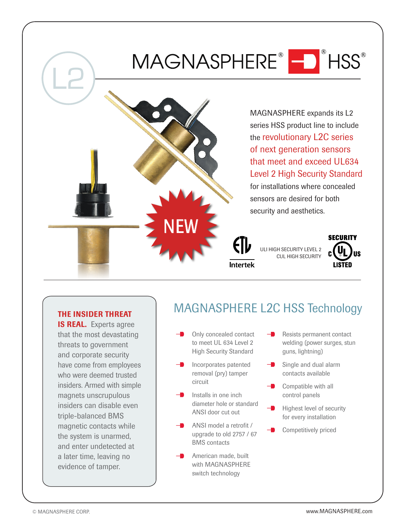## MAGNASPHERE® - FINSS®





MAGNASPHERE expands its L2 series HSS product line to include the revolutionary L2C series of next generation sensors that meet and exceed UL634 Level 2 High Security Standard for installations where concealed sensors are desired for both security and aesthetics.





#### THE INSIDER THREAT

**IS REAL.** Experts agree that the most devastating threats to government and corporate security have come from employees who were deemed trusted insiders. Armed with simple magnets unscrupulous insiders can disable even triple-balanced BMS magnetic contacts while the system is unarmed, and enter undetected at a later time, leaving no evidence of tamper.

### MAGNASPHERE L2C HSS Technology

- Only concealed contact to meet UL 634 Level 2 High Security Standard
- Incorporates patented removal (pry) tamper circuit
- Installs in one inch diameter hole or standard ANSI door cut out
- ANSI model a retrofit / upgrade to old 2757 / 67 BMS contacts
- American made, built with MAGNASPHERE switch technology
- Resists permanent contact welding (power surges, stun guns, lightning)
- Single and dual alarm contacts available
- Compatible with all control panels
- Highest level of security for every installation
- Competitively priced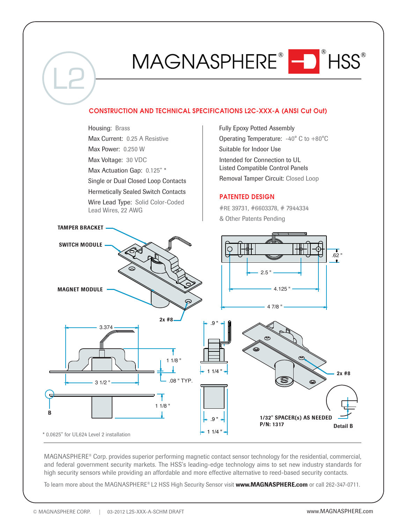## MAGNASPHERE® - HSS®





MAGNASPHERE® Corp. provides superior performing magnetic contact sensor technology for the residential, commercial, and federal government security markets. The HSS's leading-edge technology aims to set new industry standards for high security sensors while providing an affordable and more effective alternative to reed-based security contacts.

To learn more about the MAGNASPHERE® L2 HSS High Security Sensor visit www.MAGNASPHERE.com or call 262-347-0711.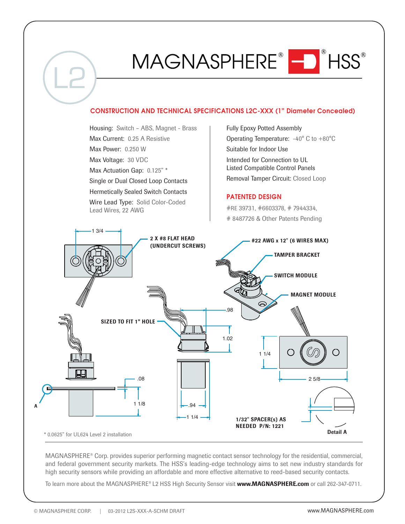## MAGNASPHERE® NSS®



Housing: Switch – ABS, Magnet - Brass Fully Epoxy Potted Assembly Max Current: 0.25 A Resistive Operating Temperature: -40° C to +80°C Max Power: 0.250 W Suitable for Indoor Use Intended for Connection to UL Max Voltage: 30 VDC Listed Compatible Control Panels Max Actuation Gap: 0.125" \* Removal Tamper Circuit: Closed Loop Single or Dual Closed Loop Contacts Hermetically Sealed Switch Contacts **PATENTED DESIGN** Wire Lead Type: Solid Color-Coded #RE 39731, #6603378, # 7944334, Lead Wires, 22 AWG # 8487726 & Other Patents Pending 1 3/4 2 X #8 FLAT HEAD #22 AWG x 12" (6 WIRES MAX)(UNDERCUT SCREWS) TAMPER BRACKET SWITCH MODULE MAGNET MODULE .98 SIZED TO FIT 1" HOLE 1.02 O 1 1/4 Æ .08 2 5/8 1 1/8 .94 A 1 1/4 1/32" SPACER(s) AS NEEDED P/N: 1221 Detail A \* 0.0625" for UL624 Level 2 installation

MAGNASPHERE® Corp. provides superior performing magnetic contact sensor technology for the residential, commercial, and federal government security markets. The HSS's leading-edge technology aims to set new industry standards for high security sensors while providing an affordable and more effective alternative to reed-based security contacts.

To learn more about the MAGNASPHERE® L2 HSS High Security Sensor visit www.MAGNASPHERE.com or call 262-347-0711.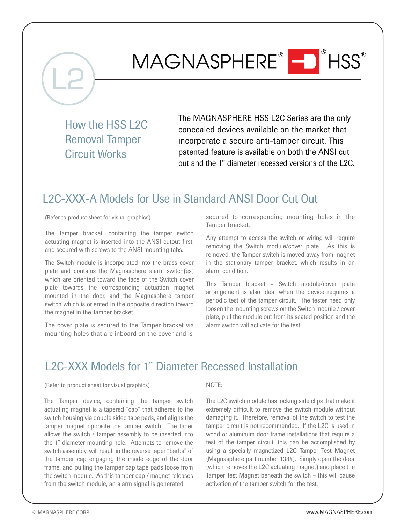# MAGNASPHERE® O<sup>®</sup>HSS®

How the HSS L2C Removal Tamper Circuit Works

The MAGNASPHERE HSS L2C Series are the only concealed devices available on the market that incorporate a secure anti-tamper circuit. This patented feature is available on both the ANSI cut out and the 1" diameter recessed versions of the L2C.

#### L2C-XXX-A Models for Use in Standard ANSI Door Cut Out

(Refer to product sheet for visual graphics)

The Tamper bracket, containing the tamper switch actuating magnet is inserted into the ANSI cutout first, and secured with screws to the ANSI mounting tabs.

The Switch module is incorporated into the brass cover plate and contains the Magnasphere alarm switch(es) which are oriented toward the face of the Switch cover plate towards the corresponding actuation magnet mounted in the door, and the Magnasphere tamper switch which is oriented in the opposite direction toward the magnet in the Tamper bracket.

The cover plate is secured to the Tamper bracket via mounting holes that are inboard on the cover and is

secured to corresponding mounting holes in the Tamper bracket.

Any attempt to access the switch or wiring will require removing the Switch module/cover plate. As this is removed, the Tamper switch is moved away from magnet in the stationary tamper bracket, which results in an alarm condition.

This Tamper bracket – Switch module/cover plate arrangement is also ideal when the device requires a periodic test of the tamper circuit. The tester need only loosen the mounting screws on the Switch module / cover plate, pull the module out from its seated position and the alarm switch will activate for the test.

#### L2C-XXX Models for 1" Diameter Recessed Installation

(Refer to product sheet for visual graphics)

The Tamper device, containing the tamper switch actuating magnet is a tapered "cap" that adheres to the switch housing via double sided tape pads, and aligns the tamper magnet opposite the tamper switch. The taper allows the switch / tamper assembly to be inserted into the 1" diameter mounting hole. Attempts to remove the switch assembly, will result in the reverse taper "barbs" of the tamper cap engaging the inside edge of the door frame, and pulling the tamper cap tape pads loose from the switch module. As this tamper cap / magnet releases from the switch module, an alarm signal is generated.

NOTE:

The L2C switch module has locking side clips that make it extremely difficult to remove the switch module without damaging it. Therefore, removal of the switch to test the tamper circuit is not recommended. If the L2C is used in wood or aluminum door frame installations that require a test of the tamper circuit, this can be accomplished by using a specially magnetized L2C Tamper Test Magnet (Magnasphere part number 1384). Simply open the door (which removes the L2C actuating magnet) and place the Tamper Test Magnet beneath the switch – this will cause activation of the tamper switch for the test.